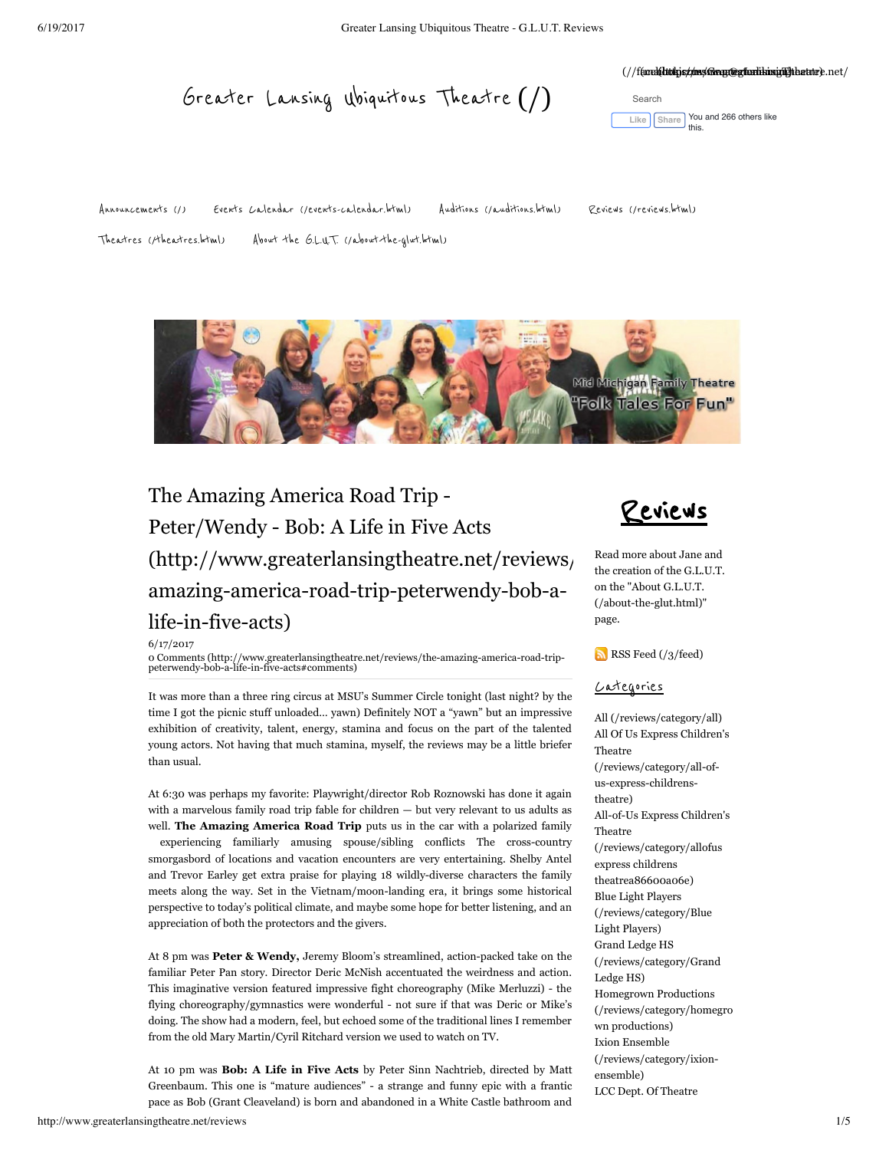#### (//fancelaltolyiszum/Greyaterlikingingheatter).net/

Greater [Lansing Ubiquitous](http://www.greaterlansingtheatre.net/) Theatre (/)

Like **[Share](https://www.facebook.com/sharer/sharer.php?u=https%3A%2F%2Fwww.facebook.com%2FGreaterLansingTheatre&display=popup&ref=plugin&src=like&kid_directed_site=0&app_id=190291501407)** You and 266 others like this.

[Announcements](http://www.greaterlansingtheatre.net/) (/) Events Calendar [\(/events-calendar.html\)](http://www.greaterlansingtheatre.net/events-calendar.html) Auditions [\(/auditions.html\)](http://www.greaterlansingtheatre.net/auditions.html) Reviews [\(/reviews.html\)](http://www.greaterlansingtheatre.net/reviews.html)

Theatres [\(/theatres.html\)](http://www.greaterlansingtheatre.net/theatres.html) About the G.L.U.T. [\(/about-the-glut.html\)](http://www.greaterlansingtheatre.net/about-the-glut.html)

Search



# The Amazing America Road Trip - Peter/Wendy - Bob: A Life in Five Acts  $(\text{http://www.greaterlansingtheatre.net/reviews})$ amazing-america-road-trip-peterwendy-bob-alife-in-five-acts)

6/17/2017

[0 Comments \(http://www.greaterlansingtheatre.net/reviews/the-amazing-america-road-trip-](http://www.greaterlansingtheatre.net/reviews/the-amazing-america-road-trip-peterwendy-bob-a-life-in-five-acts#comments)peterwendy-bob-a-life-in-five-acts#comments)

It was more than a three ring circus at MSU's Summer Circle tonight (last night? by the time I got the picnic stuff unloaded… yawn) Definitely NOT a "yawn" but an impressive exhibition of creativity, talent, energy, stamina and focus on the part of the talented young actors. Not having that much stamina, myself, the reviews may be a little briefer than usual.

At 6:30 was perhaps my favorite: Playwright/director Rob Roznowski has done it again with a marvelous family road trip fable for children — but very relevant to us adults as well. The Amazing America Road Trip puts us in the car with a polarized family experiencing familiarly amusing spouse/sibling conflicts The cross-country smorgasbord of locations and vacation encounters are very entertaining. Shelby Antel and Trevor Earley get extra praise for playing 18 wildly-diverse characters the family meets along the way. Set in the Vietnam/moon-landing era, it brings some historical perspective to today's political climate, and maybe some hope for better listening, and an appreciation of both the protectors and the givers.

At 8 pm was **Peter & Wendy,** Jeremy Bloom's streamlined, action-packed take on the familiar Peter Pan story. Director Deric McNish accentuated the weirdness and action. This imaginative version featured impressive fight choreography (Mike Merluzzi) - the flying choreography/gymnastics were wonderful - not sure if that was Deric or Mike's doing. The show had a modern, feel, but echoed some of the traditional lines I remember from the old Mary Martin/Cyril Ritchard version we used to watch on TV.

At 10 pm was **Bob: A Life in Five Acts**  by Peter Sinn Nachtrieb, directed by Matt Greenbaum. This one is "mature audiences" - a strange and funny epic with a frantic pace as Bob (Grant Cleaveland) is born and abandoned in a White Castle bathroom and

Reviews

Read more about Jane and the creation of the G.L.U.T. on the "About G.L.U.T. [\(/about-the-glut.html\)"](http://www.greaterlansingtheatre.net/about-the-glut.html) page.

[RSS Feed \(/3/feed\)](http://www.greaterlansingtheatre.net/3/feed)

### Categories

[All \(/reviews/category/all\)](http://www.greaterlansingtheatre.net/reviews/category/all) [All Of Us Express Children's](http://www.greaterlansingtheatre.net/reviews/category/all-of-us-express-childrens-theatre) Theatre (/reviews/category/all-ofus-express-childrenstheatre) [All-of-Us Express Children's](http://www.greaterlansingtheatre.net/reviews/category/allofus%20express%20childrens%20theatrea86600a06e) Theatre (/reviews/category/allofus express childrens theatrea86600a06e) Blue Light Players [\(/reviews/category/Blue](http://www.greaterlansingtheatre.net/reviews/category/Blue%20Light%20Players) Light Players) Grand Ledge HS [\(/reviews/category/Grand](http://www.greaterlansingtheatre.net/reviews/category/Grand%20Ledge%20HS) Ledge HS) Homegrown Productions [\(/reviews/category/homegro](http://www.greaterlansingtheatre.net/reviews/category/homegrown%20productions) wn productions) Ixion Ensemble [\(/reviews/category/ixion](http://www.greaterlansingtheatre.net/reviews/category/ixion-ensemble)ensemble) [LCC Dept. Of Theatre](http://www.greaterlansingtheatre.net/reviews/category/lcc-dept-of-theatre)